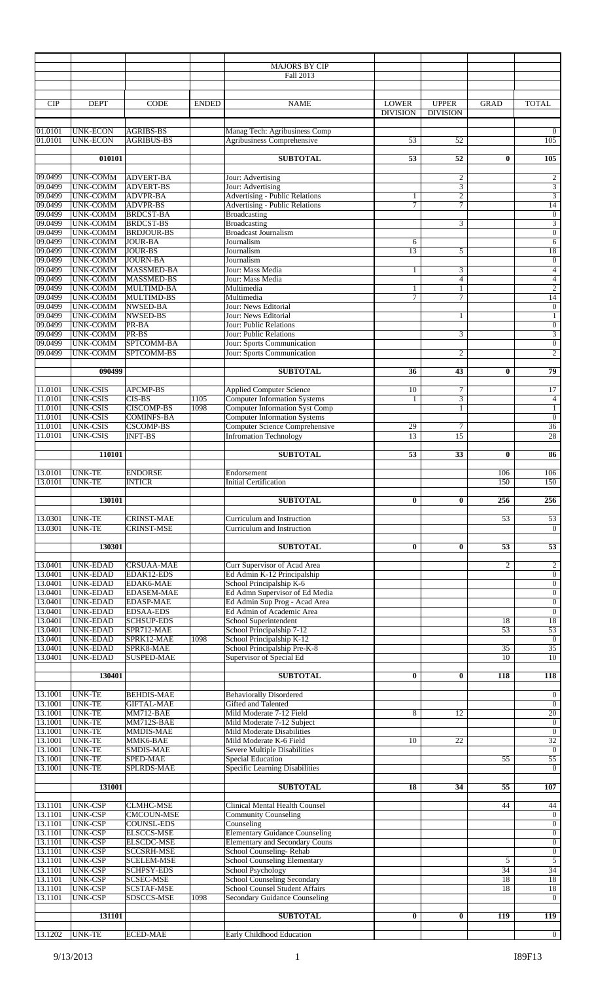|                    |                                    |                                        |              | <b>MAJORS BY CIP</b><br>Fall 2013                                            |                                 |                                 |                 |                                    |
|--------------------|------------------------------------|----------------------------------------|--------------|------------------------------------------------------------------------------|---------------------------------|---------------------------------|-----------------|------------------------------------|
| <b>CIP</b>         | <b>DEPT</b>                        | <b>CODE</b>                            | <b>ENDED</b> | <b>NAME</b>                                                                  | <b>LOWER</b><br><b>DIVISION</b> | <b>UPPER</b><br><b>DIVISION</b> | <b>GRAD</b>     | <b>TOTAL</b>                       |
| 01.0101<br>01.0101 | <b>UNK-ECON</b><br><b>UNK-ECON</b> | <b>AGRIBS-BS</b><br><b>AGRIBUS-BS</b>  |              | Manag Tech: Agribusiness Comp<br><b>Agribusiness Comprehensive</b>           | 53                              | 52                              |                 | $\overline{0}$<br>105              |
|                    | 010101                             |                                        |              | <b>SUBTOTAL</b>                                                              | $\overline{53}$                 | 52                              | $\bf{0}$        | 105                                |
| 09.0499            | <b>UNK-COMM</b>                    | <b>ADVERT-BA</b>                       |              | Jour: Advertising                                                            |                                 | $\boldsymbol{2}$                |                 | $\sqrt{2}$                         |
| 09.0499<br>09.0499 | <b>UNK-COMM</b><br><b>UNK-COMM</b> | <b>ADVERT-BS</b><br><b>ADVPR-BA</b>    |              | Jour: Advertising<br><b>Advertising - Public Relations</b>                   | $\mathbf{1}$                    | 3<br>$\overline{2}$             |                 | $\overline{3}$<br>$\overline{3}$   |
| 09.0499            | <b>UNK-COMM</b>                    | <b>ADVPR-BS</b>                        |              | <b>Advertising - Public Relations</b>                                        | $\tau$                          | $\tau$                          |                 | 14                                 |
| 09.0499<br>09.0499 | <b>UNK-COMM</b><br><b>UNK-COMM</b> | <b>BRDCST-BA</b><br><b>BRDCST-BS</b>   |              | Broadcasting<br><b>Broadcasting</b>                                          |                                 | 3                               |                 | $\mathbf{0}$<br>$\overline{3}$     |
| 09.0499            | <b>UNK-COMM</b>                    | <b>BRDJOUR-BS</b>                      |              | <b>Broadcast Journalism</b>                                                  |                                 |                                 |                 | $\boldsymbol{0}$                   |
| 09.0499<br>09.0499 | <b>UNK-COMM</b><br><b>UNK-COMM</b> | <b>JOUR-BA</b><br><b>JOUR-BS</b>       |              | Journalism<br>Journalism                                                     | 6<br>13                         | 5                               |                 | 6<br>18                            |
| 09.0499<br>09.0499 | <b>UNK-COMM</b><br><b>UNK-COMM</b> | <b>JOURN-BA</b><br>MASSMED-BA          |              | Journalism<br>Jour: Mass Media                                               | $\mathbf{1}$                    | 3                               |                 | $\mathbf{0}$<br>$\overline{4}$     |
| 09.0499            | <b>UNK-COMM</b>                    | <b>MASSMED-BS</b>                      |              | Jour: Mass Media                                                             |                                 | $\overline{4}$                  |                 | $\overline{4}$                     |
| 09.0499<br>09.0499 | <b>UNK-COMM</b><br><b>UNK-COMM</b> | <b>MULTIMD-BA</b><br>MULTIMD-BS        |              | Multimedia<br>Multimedia                                                     | $\mathbf{1}$<br>$\overline{7}$  | 1<br>7                          |                 | $\boldsymbol{2}$<br>14             |
| 09.0499            | <b>UNK-COMM</b>                    | NWSED-BA                               |              | Jour: News Editorial                                                         |                                 |                                 |                 | $\boldsymbol{0}$                   |
| 09.0499<br>09.0499 | <b>UNK-COMM</b><br><b>UNK-COMM</b> | NWSED-BS<br>PR-BA                      |              | Jour: News Editorial<br>Jour: Public Relations                               |                                 | 1                               |                 | $\mathbf{1}$<br>$\mathbf{0}$       |
| 09.0499<br>09.0499 | <b>UNK-COMM</b><br><b>UNK-COMM</b> | PR-BS<br>SPTCOMM-BA                    |              | Jour: Public Relations                                                       |                                 | 3                               |                 | $\mathfrak{Z}$<br>$\mathbf{0}$     |
| 09.0499            | <b>UNK-COMM</b>                    | SPTCOMM-BS                             |              | Jour: Sports Communication<br>Jour: Sports Communication                     |                                 | $\overline{2}$                  |                 | $\overline{2}$                     |
|                    | 090499                             |                                        |              | <b>SUBTOTAL</b>                                                              | 36                              | 43                              | $\bf{0}$        | 79                                 |
| 11.0101            | <b>UNK-CSIS</b>                    | <b>APCMP-BS</b>                        |              | <b>Applied Computer Science</b>                                              | 10                              | $\boldsymbol{7}$                |                 | 17                                 |
| 11.0101            | <b>UNK-CSIS</b>                    | CIS-BS                                 | 1105         | <b>Computer Information Systems</b>                                          | 1                               | 3                               |                 | $\overline{4}$                     |
| 11.0101<br>11.0101 | <b>UNK-CSIS</b><br><b>UNK-CSIS</b> | <b>CISCOMP-BS</b><br><b>COMINFS-BA</b> | 1098         | <b>Computer Information Syst Comp</b><br><b>Computer Information Systems</b> |                                 | $\mathbf{1}$                    |                 | $\mathbf{1}$<br>$\mathbf{0}$       |
| 11.0101            | <b>UNK-CSIS</b>                    | <b>CSCOMP-BS</b>                       |              | <b>Computer Science Comprehensive</b>                                        | 29                              | $\tau$                          |                 | 36                                 |
| 11.0101            | <b>UNK-CSIS</b>                    | <b>INFT-BS</b>                         |              | <b>Infromation Technology</b>                                                | $\overline{13}$                 | 15                              |                 | 28                                 |
|                    | 110101                             |                                        |              | <b>SUBTOTAL</b>                                                              | 53                              | 33                              | $\bf{0}$        | 86                                 |
| 13.0101<br>13.0101 | <b>UNK-TE</b><br><b>UNK-TE</b>     | <b>ENDORSE</b><br><b>INTICR</b>        |              | Endorsement<br><b>Initial Certification</b>                                  |                                 |                                 | 106<br>150      | 106<br>150                         |
|                    | 130101                             |                                        |              | <b>SUBTOTAL</b>                                                              | $\bf{0}$                        | $\bf{0}$                        | 256             | 256                                |
| 13.0301<br>13.0301 | <b>UNK-TE</b><br><b>UNK-TE</b>     | <b>CRINST-MAE</b><br><b>CRINST-MSE</b> |              | Curriculum and Instruction<br>Curriculum and Instruction                     |                                 |                                 | $\overline{53}$ | 53<br>$\overline{0}$               |
|                    | 130301                             |                                        |              | <b>SUBTOTAL</b>                                                              | $\bf{0}$                        | $\bf{0}$                        | 53              | 53                                 |
| 13.0401<br>13.0401 | <b>UNK-EDAD</b><br><b>UNK-EDAD</b> | <b>CRSUAA-MAE</b><br>EDAK12-EDS        |              | Curr Supervisor of Acad Area<br>Ed Admin K-12 Principalship                  |                                 |                                 | $\overline{c}$  | $\overline{2}$<br>$\overline{0}$   |
| 13.0401            | <b>UNK-EDAD</b>                    | EDAK6-MAE                              |              | School Principalship K-6                                                     |                                 |                                 |                 | $\overline{0}$                     |
| 13.0401<br>13.0401 | <b>UNK-EDAD</b><br><b>UNK-EDAD</b> | <b>EDASEM-MAE</b><br><b>EDASP-MAE</b>  |              | Ed Admn Supervisor of Ed Media<br>Ed Admin Sup Prog - Acad Area              |                                 |                                 |                 | $\overline{0}$<br>$\boldsymbol{0}$ |
| 13.0401            | <b>UNK-EDAD</b>                    | <b>EDSAA-EDS</b>                       |              | Ed Admin of Academic Area                                                    |                                 |                                 |                 | $\overline{0}$                     |
| 13.0401<br>13.0401 | <b>UNK-EDAD</b><br><b>UNK-EDAD</b> | <b>SCHSUP-EDS</b><br>SPR712-MAE        |              | School Superintendent<br>School Principalship 7-12                           |                                 |                                 | 18<br>53        | 18<br>53                           |
| 13.0401<br>13.0401 | <b>UNK-EDAD</b><br><b>UNK-EDAD</b> | SPRK12-MAE<br>SPRK8-MAE                | 1098         | School Principalship K-12<br>School Principalship Pre-K-8                    |                                 |                                 | $\overline{35}$ | $\overline{0}$<br>35               |
| 13.0401            | <b>UNK-EDAD</b>                    | <b>SUSPED-MAE</b>                      |              | Supervisor of Special Ed                                                     |                                 |                                 | 10              | 10                                 |
|                    | 130401                             |                                        |              | <b>SUBTOTAL</b>                                                              | $\bf{0}$                        | $\bf{0}$                        | 118             | 118                                |
| 13.1001<br>13.1001 | <b>UNK-TE</b><br><b>UNK-TE</b>     | <b>BEHDIS-MAE</b><br><b>GIFTAL-MAE</b> |              | <b>Behaviorally Disordered</b><br>Gifted and Talented                        |                                 |                                 |                 | $\mathbf{0}$<br>$\overline{0}$     |
| 13.1001            | <b>UNK-TE</b>                      | MM712-BAE                              |              | Mild Moderate 7-12 Field                                                     | 8                               | 12                              |                 | 20                                 |
| 13.1001<br>13.1001 | <b>UNK-TE</b><br><b>UNK-TE</b>     | MM712S-BAE<br>MMDIS-MAE                |              | Mild Moderate 7-12 Subject<br>Mild Moderate Disabilities                     |                                 |                                 |                 | $\overline{0}$<br>$\overline{0}$   |
| 13.1001            | <b>UNK-TE</b>                      | MMK6-BAE                               |              | Mild Moderate K-6 Field                                                      | 10                              | $\overline{22}$                 |                 | 32                                 |
| 13.1001<br>13.1001 | <b>UNK-TE</b><br><b>UNK-TE</b>     | <b>SMDIS-MAE</b><br>SPED-MAE           |              | Severe Multiple Disabilities<br><b>Special Education</b>                     |                                 |                                 | 55              | $\overline{0}$<br>55               |
| 13.1001            | <b>UNK-TE</b>                      | SPLRDS-MAE                             |              | Specific Learning Disabilities                                               |                                 |                                 |                 | $\overline{0}$                     |
|                    | 131001                             |                                        |              | <b>SUBTOTAL</b>                                                              | 18                              | $\overline{34}$                 | 55              | 107                                |
| 13.1101            | <b>UNK-CSP</b>                     | <b>CLMHC-MSE</b>                       |              | <b>Clinical Mental Health Counsel</b>                                        |                                 |                                 | 44              | 44                                 |
| 13.1101<br>13.1101 | <b>UNK-CSP</b><br><b>UNK-CSP</b>   | <b>CMCOUN-MSE</b><br><b>COUNSL-EDS</b> |              | <b>Community Counseling</b><br>Counseling                                    |                                 |                                 |                 | $\mathbf{0}$<br>$\boldsymbol{0}$   |
| 13.1101            | <b>UNK-CSP</b>                     | <b>ELSCCS-MSE</b>                      |              | <b>Elementary Guidance Counseling</b>                                        |                                 |                                 |                 | $\overline{0}$                     |
| 13.1101<br>13.1101 | <b>UNK-CSP</b><br><b>UNK-CSP</b>   | <b>ELSCDC-MSE</b><br><b>SCCSRH-MSE</b> |              | <b>Elementary and Secondary Couns</b><br>School Counseling-Rehab             |                                 |                                 |                 | $\overline{0}$<br>$\overline{0}$   |
| 13.1101            | <b>UNK-CSP</b>                     | <b>SCELEM-MSE</b>                      |              | <b>School Counseling Elementary</b>                                          |                                 |                                 | 5               | $\overline{5}$                     |
| 13.1101<br>13.1101 | <b>UNK-CSP</b><br><b>UNK-CSP</b>   | <b>SCHPSY-EDS</b><br><b>SCSEC-MSE</b>  |              | School Psychology<br>School Counseling Secondary                             |                                 |                                 | 34<br>18        | 34<br>18                           |
| 13.1101            | <b>UNK-CSP</b>                     | <b>SCSTAF-MSE</b>                      |              | <b>School Counsel Student Affairs</b>                                        |                                 |                                 | 18              | 18                                 |
| 13.1101            | <b>UNK-CSP</b>                     | SDSCCS-MSE                             | 1098         | Secondary Guidance Counseling                                                |                                 |                                 |                 | $\mathbf{0}$                       |
|                    | 131101                             |                                        |              | <b>SUBTOTAL</b>                                                              | $\bf{0}$                        | $\bf{0}$                        | 119             | 119                                |
| 13.1202 UNK-TE     |                                    | ECED-MAE                               |              | Early Childhood Education                                                    |                                 |                                 |                 | $\overline{0}$                     |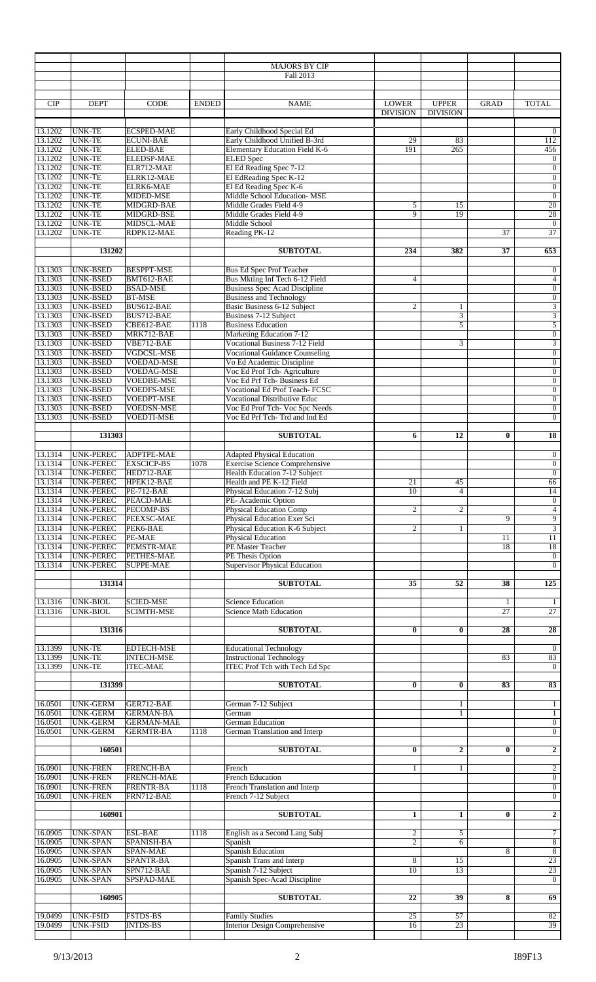|                           |                                      |                                      |              | <b>MAJORS BY CIP</b>                                                    |                 |                  |                 |                                  |
|---------------------------|--------------------------------------|--------------------------------------|--------------|-------------------------------------------------------------------------|-----------------|------------------|-----------------|----------------------------------|
|                           |                                      |                                      |              | Fall 2013                                                               |                 |                  |                 |                                  |
|                           |                                      |                                      |              |                                                                         |                 |                  |                 |                                  |
| <b>CIP</b>                | <b>DEPT</b>                          | <b>CODE</b>                          | <b>ENDED</b> | <b>NAME</b>                                                             | <b>LOWER</b>    | <b>UPPER</b>     | <b>GRAD</b>     | <b>TOTAL</b>                     |
|                           |                                      |                                      |              |                                                                         | <b>DIVISION</b> | <b>DIVISION</b>  |                 |                                  |
|                           |                                      |                                      |              |                                                                         |                 |                  |                 |                                  |
| 13.1202                   | <b>UNK-TE</b>                        | <b>ECSPED-MAE</b>                    |              | Early Childhood Special Ed                                              |                 |                  |                 | $\overline{0}$                   |
| 13.1202<br>13.1202        | <b>UNK-TE</b>                        | <b>ECUNI-BAE</b>                     |              | Early Childhood Unified B-3rd                                           | 29              | 83               |                 | 112                              |
| 13.1202                   | <b>UNK-TE</b><br><b>UNK-TE</b>       | <b>ELED-BAE</b><br><b>ELEDSP-MAE</b> |              | <b>Elementary Education Field K-6</b>                                   | 191             | 265              |                 | 456<br>$\mathbf{0}$              |
| 13.1202                   | <b>UNK-TE</b>                        | ELR712-MAE                           |              | <b>ELED</b> Spec<br>El Ed Reading Spec 7-12                             |                 |                  |                 | $\boldsymbol{0}$                 |
| 13.1202                   | <b>UNK-TE</b>                        | ELRK12-MAE                           |              | El EdReading Spec K-12                                                  |                 |                  |                 | $\overline{0}$                   |
| 13.1202                   | <b>UNK-TE</b>                        | ELRK6-MAE                            |              | El Ed Reading Spec K-6                                                  |                 |                  |                 | $\overline{0}$                   |
| 13.1202                   | <b>UNK-TE</b>                        | MIDED-MSE                            |              | Middle School Education-MSE                                             |                 |                  |                 | $\mathbf{0}$                     |
| 13.1202                   | <b>UNK-TE</b>                        | MIDGRD-BAE                           |              | Middle Grades Field 4-9                                                 | 5               | 15               |                 | 20                               |
| 13.1202                   | <b>UNK-TE</b>                        | MIDGRD-BSE                           |              | Middle Grades Field 4-9                                                 | 9               | 19               |                 | 28                               |
| 13.1202                   | <b>UNK-TE</b>                        | MIDSCL-MAE                           |              | Middle School                                                           |                 |                  |                 | $\mathbf{0}$                     |
| 13.1202                   | <b>UNK-TE</b>                        | RDPK12-MAE                           |              | Reading PK-12                                                           |                 |                  | $\overline{37}$ | 37                               |
|                           | 131202                               |                                      |              | <b>SUBTOTAL</b>                                                         | 234             | 382              | 37              | 653                              |
|                           |                                      |                                      |              |                                                                         |                 |                  |                 |                                  |
| 13.1303                   | UNK-BSED                             | <b>BESPPT-MSE</b>                    |              | <b>Bus Ed Spec Prof Teacher</b>                                         |                 |                  |                 | $\overline{0}$                   |
| 13.1303                   | <b>UNK-BSED</b>                      | BMT612-BAE                           |              | Bus Mkting Inf Tech 6-12 Field                                          | $\overline{4}$  |                  |                 | 4                                |
| 13.1303                   | <b>UNK-BSED</b>                      | <b>BSAD-MSE</b>                      |              | <b>Business Spec Acad Discipline</b>                                    |                 |                  |                 | $\mathbf{0}$                     |
| 13.1303                   | <b>UNK-BSED</b>                      | <b>BT-MSE</b>                        |              | <b>Business and Technology</b>                                          |                 |                  |                 | $\overline{0}$                   |
| 13.1303                   | UNK-BSED                             | BUS612-BAE                           |              | Basic Business 6-12 Subject                                             | $\overline{c}$  | $\mathbf{1}$     |                 | $\overline{3}$                   |
| 13.1303                   | <b>UNK-BSED</b>                      | BUS712-BAE                           |              | Business 7-12 Subject                                                   |                 | 3                |                 | $\overline{3}$                   |
| 13.1303                   | <b>UNK-BSED</b>                      | CBE612-BAE                           | 1118         | <b>Business Education</b>                                               |                 | 5                |                 | $\overline{5}$                   |
| 13.1303<br>13.1303        | <b>UNK-BSED</b>                      | MRK712-BAE                           |              | Marketing Education 7-12                                                |                 |                  |                 | $\mathbf{0}$                     |
| 13.1303                   | <b>UNK-BSED</b><br><b>UNK-BSED</b>   | VBE712-BAE<br>VGDCSL-MSE             |              | Vocational Business 7-12 Field<br><b>Vocational Guidance Counseling</b> |                 | 3                |                 | $\overline{3}$<br>$\overline{0}$ |
| 13.1303                   | <b>UNK-BSED</b>                      | VOEDAD-MSE                           |              | Vo Ed Academic Discipline                                               |                 |                  |                 | $\overline{0}$                   |
| 13.1303                   | UNK-BSED                             | <b>VOEDAG-MSE</b>                    |              | Voc Ed Prof Tch-Agriculture                                             |                 |                  |                 | $\overline{0}$                   |
| 13.1303                   | <b>UNK-BSED</b>                      | <b>VOEDBE-MSE</b>                    |              | Voc Ed Prf Tch- Business Ed                                             |                 |                  |                 | $\mathbf{0}$                     |
| 13.1303                   | <b>UNK-BSED</b>                      | <b>VOEDFS-MSE</b>                    |              | Vocational Ed Prof Teach- FCSC                                          |                 |                  |                 | $\overline{0}$                   |
| 13.1303                   | UNK-BSED                             | VOEDPT-MSE                           |              | Vocational Distributive Educ                                            |                 |                  |                 | $\mathbf{0}$                     |
| 13.1303                   | <b>UNK-BSED</b>                      | <b>VOEDSN-MSE</b>                    |              | Voc Ed Prof Tch- Voc Spc Needs                                          |                 |                  |                 | $\overline{0}$                   |
| 13.1303                   | <b>UNK-BSED</b>                      | VOEDTI-MSE                           |              | Voc Ed Prf Tch-Trd and Ind Ed                                           |                 |                  |                 | $\overline{0}$                   |
|                           |                                      |                                      |              |                                                                         |                 |                  |                 |                                  |
|                           | 131303                               |                                      |              | <b>SUBTOTAL</b>                                                         | 6               | 12               | $\bf{0}$        | 18                               |
| 13.1314                   | <b>UNK-PEREC</b>                     | ADPTPE-MAE                           |              | <b>Adapted Physical Education</b>                                       |                 |                  |                 | $\boldsymbol{0}$                 |
| 13.1314                   | <b>UNK-PEREC</b>                     | <b>EXSCICP-BS</b>                    | 1078         | <b>Exercise Science Comprehensive</b>                                   |                 |                  |                 | $\mathbf{0}$                     |
| 13.1314                   | <b>UNK-PEREC</b>                     | HED712-BAE                           |              | Health Education 7-12 Subject                                           |                 |                  |                 | $\overline{0}$                   |
| 13.1314                   | UNK-PEREC                            | HPEK12-BAE                           |              | Health and PE K-12 Field                                                | 21              | 45               |                 | 66                               |
| $\frac{13.1314}{13.1314}$ | UNK-PEREC                            | <b>PE-712-BAE</b>                    |              | Physical Education 7-12 Subj                                            | 10              | 4                |                 | 14                               |
|                           | <b>UNK-PEREC</b>                     | PEACD-MAE                            |              | PE- Academic Option                                                     |                 |                  |                 | $\overline{0}$                   |
| 13.1314                   | <b>UNK-PEREC</b>                     | PECOMP-BS                            |              | <b>Physical Education Comp</b>                                          | $\mathfrak{2}$  | $\overline{c}$   |                 | $\overline{4}$                   |
| 13.1314                   | <b>UNK-PEREC</b>                     | PEEXSC-MAE                           |              | Physical Education Exer Sci                                             |                 |                  | 9               | $\overline{9}$                   |
| 13.1314                   | <b>UNK-PEREC</b>                     | PEK6-BAE                             |              | Physical Education K-6 Subject                                          | $\overline{2}$  | $\mathbf{1}$     |                 | $\overline{3}$                   |
| 13.1314<br>13.1314        | <b>UNK-PEREC</b><br><b>UNK-PEREC</b> | PE-MAE<br>PEMSTR-MAE                 |              | Physical Education<br>PE Master Teacher                                 |                 |                  | 11<br>18        | $11\,$                           |
| 13.1314                   | <b>UNK-PEREC</b>                     | PETHES-MAE                           |              | PE Thesis Option                                                        |                 |                  |                 | 18<br>$\overline{0}$             |
| 13.1314                   | UNK-PEREC                            | <b>SUPPE-MAE</b>                     |              | <b>Supervisor Physical Education</b>                                    |                 |                  |                 | $\overline{0}$                   |
|                           |                                      |                                      |              |                                                                         |                 |                  |                 |                                  |
|                           | 131314                               |                                      |              | <b>SUBTOTAL</b>                                                         | $\overline{35}$ | $\overline{52}$  | 38              | 125                              |
| 13.1316                   | UNK-BIOL                             | <b>SCIED-MSE</b>                     |              | <b>Science Education</b>                                                |                 |                  | 1               | -1                               |
| 13.1316                   | <b>UNK-BIOL</b>                      | <b>SCIMTH-MSE</b>                    |              | <b>Science Math Education</b>                                           |                 |                  | 27              | $\overline{27}$                  |
|                           |                                      |                                      |              |                                                                         |                 |                  |                 |                                  |
|                           | 131316                               |                                      |              | <b>SUBTOTAL</b>                                                         | $\bf{0}$        | $\bf{0}$         | 28              | 28                               |
| 13.1399                   | <b>UNK-TE</b>                        | <b>EDTECH-MSE</b>                    |              | <b>Educational Technology</b>                                           |                 |                  |                 | $\overline{0}$                   |
| 13.1399                   | <b>UNK-TE</b>                        | <b>INTECH-MSE</b>                    |              | <b>Instructional Technology</b>                                         |                 |                  | 83              | 83                               |
| 13.1399                   | <b>UNK-TE</b>                        | <b>ITEC-MAE</b>                      |              | <b>ITEC Prof Tch with Tech Ed Spc</b>                                   |                 |                  |                 | $\overline{0}$                   |
|                           |                                      |                                      |              |                                                                         |                 |                  |                 |                                  |
|                           | 131399                               |                                      |              | <b>SUBTOTAL</b>                                                         | $\bf{0}$        | $\bf{0}$         | 83              | 83                               |
| 16.0501                   | <b>UNK-GERM</b>                      | GER712-BAE                           |              | German 7-12 Subject                                                     |                 | $\mathbf{1}$     |                 | $\mathbf{1}$                     |
| 16.0501                   | <b>UNK-GERM</b>                      | <b>GERMAN-BA</b>                     |              | German                                                                  |                 | 1                |                 | 1                                |
| 16.0501                   | <b>UNK-GERM</b>                      | <b>GERMAN-MAE</b>                    |              | <b>German Education</b>                                                 |                 |                  |                 | $\overline{0}$                   |
| 16.0501                   | <b>UNK-GERM</b>                      | <b>GERMTR-BA</b>                     | 1118         | German Translation and Interp                                           |                 |                  |                 | $\overline{0}$                   |
|                           |                                      |                                      |              |                                                                         |                 |                  |                 |                                  |
|                           | 160501                               |                                      |              | <b>SUBTOTAL</b>                                                         | $\bf{0}$        | $\boldsymbol{2}$ | $\bf{0}$        | $\overline{2}$                   |
|                           |                                      |                                      |              |                                                                         |                 |                  |                 |                                  |
| 16.0901<br>16.0901        | <b>UNK-FREN</b><br><b>UNK-FREN</b>   | <b>FRENCH-BA</b><br>FRENCH-MAE       |              | French<br><b>French Education</b>                                       | $\mathbf{1}$    | $\mathbf{1}$     |                 | $\overline{2}$<br>$\overline{0}$ |
| 16.0901                   | <b>UNK-FREN</b>                      | <b>FRENTR-BA</b>                     | 1118         | French Translation and Interp                                           |                 |                  |                 | $\overline{0}$                   |
| 16.0901                   | <b>UNK-FREN</b>                      | FRN712-BAE                           |              | French 7-12 Subject                                                     |                 |                  |                 | $\mathbf{0}$                     |
|                           |                                      |                                      |              |                                                                         |                 |                  |                 |                                  |
|                           | 160901                               |                                      |              | <b>SUBTOTAL</b>                                                         | $\mathbf{1}$    | 1                | $\bf{0}$        | $\overline{2}$                   |
|                           |                                      |                                      |              |                                                                         |                 |                  |                 |                                  |
| 16.0905                   | <b>UNK-SPAN</b>                      | <b>ESL-BAE</b>                       | 1118         | English as a Second Lang Subj                                           | $\sqrt{2}$      | 5                |                 | $\overline{7}$                   |
| 16.0905                   | <b>UNK-SPAN</b>                      | SPANISH-BA                           |              | Spanish                                                                 | $\overline{2}$  | 6                |                 | $\overline{8}$                   |
| 16.0905<br>16.0905        | <b>UNK-SPAN</b>                      | SPAN-MAE                             |              | Spanish Education                                                       |                 |                  | 8               | $\overline{8}$<br>23             |
| 16.0905                   | <b>UNK-SPAN</b><br><b>UNK-SPAN</b>   | SPANTR-BA<br>SPN712-BAE              |              | Spanish Trans and Interp<br>Spanish 7-12 Subject                        | 8<br>10         | 15<br>13         |                 | 23                               |
| 16.0905                   | <b>UNK-SPAN</b>                      | SPSPAD-MAE                           |              | Spanish Spec-Acad Discipline                                            |                 |                  |                 | $\overline{0}$                   |
|                           |                                      |                                      |              |                                                                         |                 |                  |                 |                                  |
|                           | 160905                               |                                      |              | <b>SUBTOTAL</b>                                                         | 22              | 39               | 8               | 69                               |
|                           |                                      |                                      |              |                                                                         |                 |                  |                 |                                  |
| 19.0499                   | <b>UNK-FSID</b>                      | <b>FSTDS-BS</b>                      |              | <b>Family Studies</b>                                                   | 25              | $\overline{57}$  |                 | 82                               |
| 19.0499                   | UNK-FSID                             | <b>INTDS-BS</b>                      |              | <b>Interior Design Comprehensive</b>                                    | 16              | $\overline{23}$  |                 | $\frac{39}{ }$                   |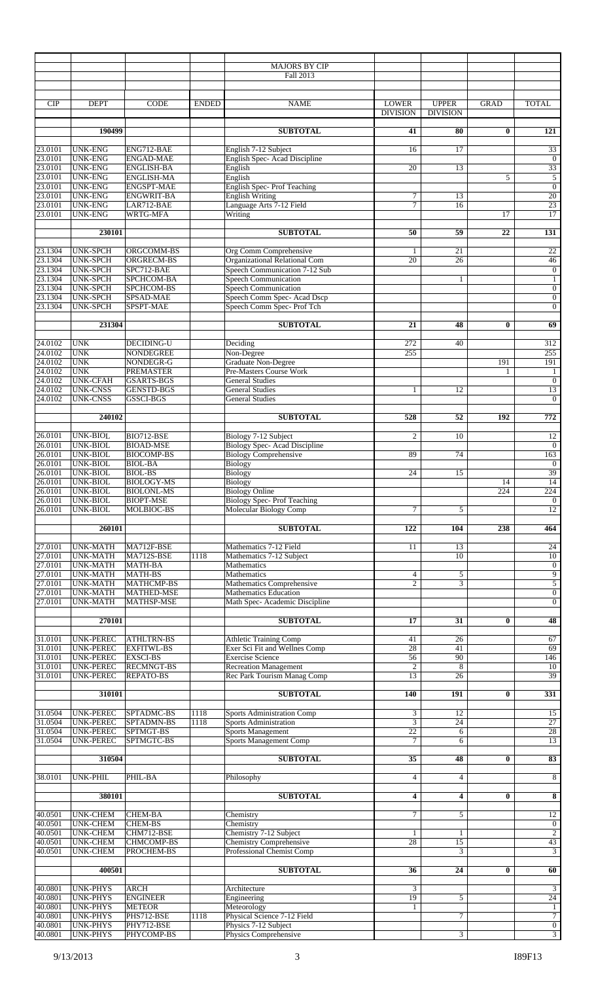|                           |                                      |                                        |              | <b>MAJORS BY CIP</b><br>Fall 2013                                   |                                 |                                 |             |                                  |
|---------------------------|--------------------------------------|----------------------------------------|--------------|---------------------------------------------------------------------|---------------------------------|---------------------------------|-------------|----------------------------------|
|                           |                                      |                                        |              |                                                                     |                                 |                                 |             |                                  |
| <b>CIP</b>                | <b>DEPT</b>                          | <b>CODE</b>                            | <b>ENDED</b> | <b>NAME</b>                                                         | <b>LOWER</b><br><b>DIVISION</b> | <b>UPPER</b><br><b>DIVISION</b> | <b>GRAD</b> | <b>TOTAL</b>                     |
|                           | 190499                               |                                        |              | <b>SUBTOTAL</b>                                                     | 41                              | 80                              | $\bf{0}$    | 121                              |
|                           |                                      |                                        |              |                                                                     |                                 |                                 |             |                                  |
| 23.0101                   | <b>UNK-ENG</b>                       | ENG712-BAE                             |              | English 7-12 Subject                                                | 16                              | 17                              |             | 33                               |
| 23.0101<br>23.0101        | <b>UNK-ENG</b><br><b>UNK-ENG</b>     | <b>ENGAD-MAE</b><br>ENGLISH-BA         |              | English Spec-Acad Discipline<br>English                             | 20                              | 13                              |             | $\mathbf{0}$<br>33               |
| 23.0101                   | <b>UNK-ENG</b>                       | <b>ENGLISH-MA</b>                      |              | English                                                             |                                 |                                 | 5           | $\overline{5}$                   |
| 23.0101<br>23.0101        | <b>UNK-ENG</b>                       | <b>ENGSPT-MAE</b>                      |              | <b>English Spec-Prof Teaching</b>                                   |                                 |                                 |             | $\boldsymbol{0}$                 |
|                           | <b>UNK-ENG</b>                       | <b>ENGWRIT-BA</b>                      |              | <b>English Writing</b>                                              | 7                               | 13                              |             | 20                               |
| 23.0101<br>23.0101        | <b>UNK-ENG</b><br><b>UNK-ENG</b>     | $LAR712-BAE$<br>WRTG-MFA               |              | Language Arts 7-12 Field<br>Writing                                 | $\tau$                          | 16                              | 17          | 23<br>17                         |
|                           |                                      |                                        |              |                                                                     |                                 |                                 |             |                                  |
|                           | 230101                               |                                        |              | <b>SUBTOTAL</b>                                                     | 50                              | 59                              | 22          | 131                              |
| 23.1304<br>23.1304        | <b>UNK-SPCH</b><br><b>UNK-SPCH</b>   | ORGCOMM-BS<br>ORGRECM-BS               |              | Org Comm Comprehensive<br><b>Organizational Relational Com</b>      | 1<br>$\overline{20}$            | 21<br>$\overline{26}$           |             | 22<br>46                         |
| 23.1304                   | <b>UNK-SPCH</b>                      | SPC712-BAE                             |              | Speech Communication 7-12 Sub                                       |                                 |                                 |             | $\boldsymbol{0}$                 |
| 23.1304                   | <b>UNK-SPCH</b>                      | SPCHCOM-BA                             |              | <b>Speech Communication</b>                                         |                                 | $\mathbf{1}$                    |             | $\mathbf{1}$                     |
| 23.1304                   | <b>UNK-SPCH</b>                      | SPCHCOM-BS                             |              | <b>Speech Communication</b>                                         |                                 |                                 |             | $\boldsymbol{0}$                 |
| 23.1304<br>23.1304        | <b>UNK-SPCH</b><br><b>UNK-SPCH</b>   | SPSAD-MAE<br>SPSPT-MAE                 |              | Speech Comm Spec-Acad Dscp<br>Speech Comm Spec- Prof Tch            |                                 |                                 |             | $\boldsymbol{0}$<br>$\mathbf{0}$ |
|                           |                                      |                                        |              |                                                                     |                                 |                                 |             |                                  |
|                           | 231304                               |                                        |              | <b>SUBTOTAL</b>                                                     | 21                              | 48                              | 0           | 69                               |
| 24.0102                   | <b>UNK</b>                           | DECIDING-U                             |              | Deciding                                                            | 272                             | 40                              |             | 312                              |
| 24.0102<br>24.0102        | <b>UNK</b><br><b>UNK</b>             | <b>NONDEGREE</b><br>NONDEGR-G          |              | Non-Degree<br><b>Graduate Non-Degree</b>                            | 255                             |                                 | 191         | 255<br>191                       |
| 24.0102                   | <b>UNK</b>                           | <b>PREMASTER</b>                       |              | Pre-Masters Course Work                                             |                                 |                                 | 1           | 1                                |
| 24.0102                   | <b>UNK-CFAH</b>                      | <b>GSARTS-BGS</b>                      |              | <b>General Studies</b>                                              |                                 |                                 |             | $\boldsymbol{0}$                 |
| 24.0102                   | <b>UNK-CNSS</b>                      | <b>GENSTD-BGS</b>                      |              | <b>General Studies</b>                                              | $\mathbf{1}$                    | 12                              |             | 13                               |
| 24.0102                   | <b>UNK-CNSS</b>                      | GSSCI-BGS                              |              | <b>General Studies</b>                                              |                                 |                                 |             | $\theta$                         |
|                           | 240102                               |                                        |              | <b>SUBTOTAL</b>                                                     | 528                             | 52                              | 192         | $\overline{772}$                 |
|                           |                                      |                                        |              |                                                                     |                                 |                                 |             |                                  |
| 26.0101                   | UNK-BIOL                             | BIO712-BSE                             |              | Biology 7-12 Subject                                                | $\overline{c}$                  | 10                              |             | 12                               |
| 26.0101<br>26.0101        | <b>UNK-BIOL</b><br><b>UNK-BIOL</b>   | <b>BIOAD-MSE</b><br><b>BIOCOMP-BS</b>  |              | <b>Biology Spec-Acad Discipline</b><br><b>Biology Comprehensive</b> | 89                              | 74                              |             | $\mathbf{0}$<br>163              |
| 26.0101                   | <b>UNK-BIOL</b>                      | <b>BIOL-BA</b>                         |              | <b>Biology</b>                                                      |                                 |                                 |             | $\mathbf{0}$                     |
| 26.0101                   | <b>UNK-BIOL</b>                      | <b>BIOL-BS</b>                         |              | <b>Biology</b>                                                      | 24                              | 15                              |             | 39                               |
| 26.0101                   | <b>UNK-BIOL</b>                      | <b>BIOLOGY-MS</b>                      |              | <b>Biology</b>                                                      |                                 |                                 | 14          | 14                               |
| 26.0101<br>26.0101        | UNK-BIOL<br><b>UNK-BIOL</b>          | <b>BIOLONL-MS</b><br><b>BIOPT-MSE</b>  |              | <b>Biology Online</b><br><b>Biology Spec-Prof Teaching</b>          |                                 |                                 | 224         | 224<br>$\overline{0}$            |
| 26.0101                   | <b>UNK-BIOL</b>                      | MOLBIOC-BS                             |              | <b>Molecular Biology Comp</b>                                       | $\tau$                          | 5                               |             | 12                               |
|                           |                                      |                                        |              |                                                                     |                                 |                                 |             |                                  |
|                           | 260101                               |                                        |              | <b>SUBTOTAL</b>                                                     | 122                             | 104                             | 238         | 464                              |
| 27.0101                   | <b>UNK-MATH</b>                      | MA712F-BSE                             |              | Mathematics 7-12 Field                                              | 11                              | 13                              |             | $\overline{24}$                  |
| 27.0101<br>27.0101        | <b>UNK-MATH</b>                      | MA712S-BSE                             | 1118         | Mathematics 7-12 Subject                                            |                                 | 10                              |             | 10                               |
|                           | <b>UNK-MATH</b>                      | MATH-BA                                |              | Mathematics                                                         |                                 |                                 |             | $\boldsymbol{0}$                 |
| 27.0101<br>27.0101        | <b>UNK-MATH</b><br><b>UNK-MATH</b>   | <b>MATH-BS</b><br><b>MATHCMP-BS</b>    |              | Mathematics<br><b>Mathematics Comprehensive</b>                     | 4<br>$\overline{2}$             | 5<br>3                          |             | $\overline{9}$<br>$\overline{5}$ |
| 27.0101                   | <b>UNK-MATH</b>                      | MATHED-MSE                             |              | <b>Mathematics Education</b>                                        |                                 |                                 |             | $\overline{0}$                   |
| 27.0101                   | <b>UNK-MATH</b>                      | <b>MATHSP-MSE</b>                      |              | Math Spec- Academic Discipline                                      |                                 |                                 |             | $\overline{0}$                   |
|                           | 270101                               |                                        |              | <b>SUBTOTAL</b>                                                     | 17                              | 31                              | $\bf{0}$    | 48                               |
|                           |                                      |                                        |              |                                                                     |                                 |                                 |             |                                  |
| 31.0101                   | <b>UNK-PEREC</b><br><b>UNK-PEREC</b> | <b>ATHLTRN-BS</b><br><b>EXFITWL-BS</b> |              | <b>Athletic Training Comp</b><br>Exer Sci Fit and Wellnes Comp      | 41<br>28                        | $\overline{26}$<br>41           |             | 67<br>69                         |
| $\frac{31.0101}{31.0101}$ | <b>UNK-PEREC</b>                     | <b>EXSCI-BS</b>                        |              | <b>Exercise Science</b>                                             | 56                              | 90                              |             | 146                              |
| $\frac{31.0101}{31.0101}$ | UNK-PEREC                            | <b>RECMNGT-BS</b>                      |              | <b>Recreation Management</b>                                        | 2                               | 8                               |             | 10                               |
|                           | <b>UNK-PEREC</b>                     | <b>REPATO-BS</b>                       |              | Rec Park Tourism Manag Comp                                         | 13                              | 26                              |             | 39                               |
|                           | 310101                               |                                        |              | <b>SUBTOTAL</b>                                                     | 140                             | 191                             | $\bf{0}$    | 331                              |
| 31.0504                   | <b>UNK-PEREC</b>                     | SPTADMC-BS                             | 1118         | Sports Administration Comp                                          | 3                               | 12                              |             | 15                               |
| 31.0504                   | <b>UNK-PEREC</b>                     | SPTADMN-BS                             | 1118         | <b>Sports Administration</b>                                        | 3                               | 24                              |             | 27                               |
| 31.0504                   | UNK-PEREC                            | SPTMGT-BS                              |              | <b>Sports Management</b>                                            | 22                              | 6                               |             | 28                               |
| 31.0504                   | <b>UNK-PEREC</b>                     | SPTMGTC-BS                             |              | <b>Sports Management Comp</b>                                       | 7                               | 6                               |             | 13                               |
|                           | 310504                               |                                        |              | <b>SUBTOTAL</b>                                                     | $\overline{35}$                 | 48                              | $\bf{0}$    | 83                               |
| 38.0101                   | <b>UNK-PHIL</b>                      | PHIL-BA                                |              | Philosophy                                                          | $\overline{4}$                  | $\overline{4}$                  |             | 8                                |
|                           | 380101                               |                                        |              | <b>SUBTOTAL</b>                                                     | 4                               | 4                               | $\bf{0}$    | 8                                |
| 40.0501                   | <b>UNK-CHEM</b>                      | <b>CHEM-BA</b>                         |              | Chemistry                                                           | $\overline{7}$                  | 5                               |             | 12                               |
| 40.0501                   | <b>UNK-CHEM</b>                      | <b>CHEM-BS</b>                         |              | Chemistry                                                           |                                 |                                 |             | $\mathbf{0}$                     |
| 40.0501                   | <b>UNK-CHEM</b>                      | CHM712-BSE                             |              | Chemistry 7-12 Subject                                              | $\mathbf{1}$                    | $\mathbf{1}$                    |             | $\overline{2}$                   |
| 40.0501<br>40.0501        | <b>UNK-CHEM</b><br><b>UNK-CHEM</b>   | <b>CHMCOMP-BS</b><br>PROCHEM-BS        |              | <b>Chemistry Comprehensive</b><br><b>Professional Chemist Comp</b>  | 28                              | 15<br>3                         |             | 43<br>$\overline{3}$             |
|                           |                                      |                                        |              |                                                                     |                                 |                                 |             |                                  |
|                           | 400501                               |                                        |              | <b>SUBTOTAL</b>                                                     | 36                              | 24                              | $\bf{0}$    | 60                               |
| 40.0801                   | UNK-PHYS                             | <b>ARCH</b>                            |              | Architecture                                                        | 3                               |                                 |             | $\overline{\mathbf{3}}$          |
| 40.0801                   | <b>UNK-PHYS</b>                      | <b>ENGINEER</b>                        |              | Engineering                                                         | 19                              | 5                               |             | 24                               |
| 40.0801                   | <b>UNK-PHYS</b>                      | <b>METEOR</b>                          |              | Meteorology                                                         | $\mathbf{1}$                    |                                 |             | $\mathbf{1}$                     |
| 40.0801<br>40.0801        | <b>UNK-PHYS</b><br><b>UNK-PHYS</b>   | PHS712-BSE<br>PHY712-BSE               | 1118         | Physical Science 7-12 Field<br>Physics 7-12 Subject                 |                                 | $\tau$                          |             | $\tau$<br>$\overline{0}$         |
| 40.0801                   | <b>UNK-PHYS</b>                      | PHYCOMP-BS                             |              | Physics Comprehensive                                               |                                 | 3                               |             | $\overline{3}$                   |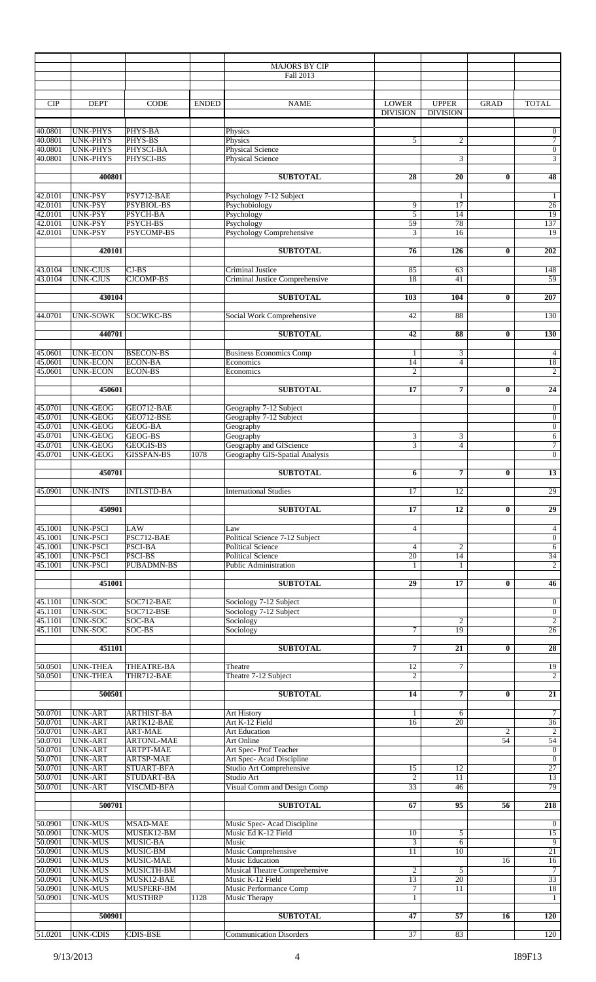|                                                     |                                                                                 |                                                                              |              | <b>MAJORS BY CIP</b><br>Fall 2013                                                                       |                                 |                                      |                |                                                                                 |
|-----------------------------------------------------|---------------------------------------------------------------------------------|------------------------------------------------------------------------------|--------------|---------------------------------------------------------------------------------------------------------|---------------------------------|--------------------------------------|----------------|---------------------------------------------------------------------------------|
| <b>CIP</b>                                          | <b>DEPT</b>                                                                     | CODE                                                                         | <b>ENDED</b> | <b>NAME</b>                                                                                             | <b>LOWER</b><br><b>DIVISION</b> | <b>UPPER</b><br><b>DIVISION</b>      | <b>GRAD</b>    | <b>TOTAL</b>                                                                    |
| 40.0801<br>40.0801<br>40.0801<br>40.0801            | <b>UNK-PHYS</b><br><b>UNK-PHYS</b><br><b>UNK-PHYS</b><br><b>UNK-PHYS</b>        | PHYS-BA<br>PHYS-BS<br>PHYSCI-BA<br>PHYSCI-BS                                 |              | Physics<br>Physics<br>Physical Science<br><b>Physical Science</b>                                       | 5                               | $\mathfrak{2}$<br>3                  |                | $\mathbf{0}$<br>$\boldsymbol{7}$<br>$\boldsymbol{0}$<br>$\overline{\mathbf{3}}$ |
|                                                     | 400801                                                                          |                                                                              |              | <b>SUBTOTAL</b>                                                                                         | 28                              | 20                                   | $\bf{0}$       | 48                                                                              |
| 42.0101<br>42.0101<br>42.0101<br>42.0101<br>42.0101 | <b>UNK-PSY</b><br>UNK-PSY<br><b>UNK-PSY</b><br><b>UNK-PSY</b><br><b>UNK-PSY</b> | PSY712-BAE<br>PSYBIOL-BS<br>PSYCH-BA<br><b>PSYCH-BS</b><br><b>PSYCOMP-BS</b> |              | Psychology 7-12 Subject<br>Psychobiology<br>Psychology<br>Psychology<br><b>Psychology Comprehensive</b> | 9<br>5<br>59<br>3               | $\mathbf{1}$<br>17<br>14<br>78<br>16 |                | -1<br>26<br>19<br>137<br>19                                                     |
|                                                     | 420101                                                                          |                                                                              |              | <b>SUBTOTAL</b>                                                                                         | $\overline{76}$                 | 126                                  | $\bf{0}$       | 202                                                                             |
|                                                     | <b>UNK-CJUS</b>                                                                 | $CJ-BS$                                                                      |              | Criminal Justice                                                                                        | 85                              | 63                                   |                | 148                                                                             |
| 43.0104<br>43.0104                                  | <b>UNK-CJUS</b>                                                                 | <b>CJCOMP-BS</b>                                                             |              | Criminal Justice Comprehensive                                                                          | 18                              | 41                                   |                | 59                                                                              |
|                                                     | 430104                                                                          |                                                                              |              | <b>SUBTOTAL</b>                                                                                         | 103                             | 104                                  | $\bf{0}$       | 207                                                                             |
| 44.0701                                             | <b>UNK-SOWK</b>                                                                 | SOCWKC-BS                                                                    |              | Social Work Comprehensive                                                                               | 42                              | 88                                   |                | 130                                                                             |
|                                                     | 440701                                                                          |                                                                              |              | <b>SUBTOTAL</b>                                                                                         | 42                              | 88                                   | $\bf{0}$       | 130                                                                             |
| 45.0601                                             | <b>UNK-ECON</b>                                                                 | <b>BSECON-BS</b>                                                             |              | <b>Business Economics Comp</b>                                                                          | $\mathbf{1}$                    | 3                                    |                | $\overline{4}$                                                                  |
| 45.0601<br>45.0601                                  | <b>UNK-ECON</b><br><b>UNK-ECON</b>                                              | <b>ECON-BA</b><br><b>ECON-BS</b>                                             |              | Economics<br>Economics                                                                                  | 14<br>$\overline{2}$            | $\overline{4}$                       |                | 18<br>$\mathbf{2}$                                                              |
|                                                     | 450601                                                                          |                                                                              |              | <b>SUBTOTAL</b>                                                                                         | 17                              | 7                                    | $\bf{0}$       | 24                                                                              |
| 45.0701<br>45.0701<br>45.0701                       | <b>UNK-GEOG</b><br><b>UNK-GEOG</b><br><b>UNK-GEOG</b>                           | GEO712-BAE<br>GEO712-BSE<br>GEOG-BA                                          |              | Geography 7-12 Subject<br>Geography 7-12 Subject<br>Geography                                           |                                 |                                      |                | $\boldsymbol{0}$<br>$\boldsymbol{0}$<br>$\overline{0}$                          |
| 45.0701                                             | <b>UNK-GEOG</b>                                                                 | GEOG-BS                                                                      |              | Geography                                                                                               | 3                               | 3                                    |                | $\sqrt{6}$                                                                      |
| 45.0701<br>45.0701                                  | <b>UNK-GEOG</b><br><b>UNK-GEOG</b>                                              | <b>GEOGIS-BS</b><br><b>GISSPAN-BS</b>                                        | 1078         | Geography and GIScience<br>Geography GIS-Spatial Analysis                                               | 3                               | 4                                    |                | $\boldsymbol{7}$<br>$\overline{0}$                                              |
|                                                     | 450701                                                                          |                                                                              |              | <b>SUBTOTAL</b>                                                                                         | 6                               | 7                                    | $\bf{0}$       | $\overline{13}$                                                                 |
|                                                     | 45.0901 UNK-INTS                                                                | <b>INTLSTD-BA</b>                                                            |              | <b>International Studies</b>                                                                            | 17                              | 12                                   |                | 29                                                                              |
|                                                     | 450901                                                                          |                                                                              |              | <b>SUBTOTAL</b>                                                                                         | 17                              | 12                                   | $\bf{0}$       | 29                                                                              |
| 45.1001<br>45.1001                                  | <b>UNK-PSCI</b>                                                                 | LAW<br>PSC712-BAE                                                            |              | Law                                                                                                     | 4                               |                                      |                | $\overline{4}$                                                                  |
| 45.1001                                             | <b>UNK-PSCI</b><br><b>UNK-PSCI</b>                                              | <b>PSCI-BA</b>                                                               |              | Political Science 7-12 Subject<br><b>Political Science</b>                                              | $\overline{4}$                  | $\mathfrak{2}$                       |                | $\mathbf{0}$<br>6                                                               |
| 45.1001<br>45.1001                                  | <b>UNK-PSCI</b><br><b>UNK-PSCI</b>                                              | PSCI-BS<br><b>PUBADMN-BS</b>                                                 |              | <b>Political Science</b><br>Public Administration                                                       | 20<br>$\mathbf{1}$              | 14<br>$\mathbf{1}$                   |                | 34<br>$\overline{2}$                                                            |
|                                                     | 451001                                                                          |                                                                              |              | <b>SUBTOTAL</b>                                                                                         | 29                              | $\overline{17}$                      | $\bf{0}$       | 46                                                                              |
| 45.1101<br>45.1101<br>45.1101                       | UNK-SOC<br><b>UNK-SOC</b><br><b>UNK-SOC</b>                                     | SOC712-BAE<br>SOC712-BSE<br>SOC-BA                                           |              | Sociology 7-12 Subject<br>Sociology 7-12 Subject<br>Sociology                                           |                                 | $\boldsymbol{2}$                     |                | $\mathbf{0}$<br>$\boldsymbol{0}$<br>$\overline{c}$                              |
| 45.1101                                             | <b>UNK-SOC</b>                                                                  | SOC-BS                                                                       |              | Sociology                                                                                               | $\overline{7}$                  | 19                                   |                | $\overline{26}$                                                                 |
|                                                     | 451101                                                                          |                                                                              |              | <b>SUBTOTAL</b>                                                                                         | 7                               | $\overline{21}$                      | $\bf{0}$       | 28                                                                              |
| 50.0501<br>50.0501                                  | <b>UNK-THEA</b><br><b>UNK-THEA</b>                                              | THEATRE-BA<br>THR712-BAE                                                     |              | Theatre<br>Theatre 7-12 Subject                                                                         | 12<br>$\overline{2}$            | $\boldsymbol{7}$                     |                | 19<br>2                                                                         |
|                                                     | 500501                                                                          |                                                                              |              | <b>SUBTOTAL</b>                                                                                         | 14                              | $\overline{7}$                       | $\bf{0}$       | $\overline{21}$                                                                 |
| 50.0701                                             | <b>UNK-ART</b>                                                                  | <b>ARTHIST-BA</b>                                                            |              | Art History                                                                                             | $\mathbf{1}$                    | 6                                    |                | $\tau$                                                                          |
| 50.0701                                             | <b>UNK-ART</b><br><b>UNK-ART</b>                                                | ARTK12-BAE<br>ART-MAE                                                        |              | Art K-12 Field<br><b>Art Education</b>                                                                  | 16                              | 20                                   | $\overline{c}$ | 36<br>$\sqrt{2}$                                                                |
| 50.0701<br>50.0701                                  | <b>UNK-ART</b>                                                                  | <b>ARTONL-MAE</b>                                                            |              | Art Online                                                                                              |                                 |                                      | 54             | 54                                                                              |
| 50.0701<br>50.0701                                  | <b>UNK-ART</b><br><b>UNK-ART</b>                                                | <b>ARTPT-MAE</b><br><b>ARTSP-MAE</b>                                         |              | Art Spec-Prof Teacher<br>Art Spec-Acad Discipline                                                       |                                 |                                      |                | $\boldsymbol{0}$<br>$\overline{0}$                                              |
| 50.0701                                             | <b>UNK-ART</b>                                                                  | <b>STUART-BFA</b>                                                            |              | Studio Art Comprehensive                                                                                | 15                              | 12                                   |                | 27                                                                              |
| 50.0701<br>50.0701                                  | <b>UNK-ART</b><br><b>UNK-ART</b>                                                | STUDART-BA<br>VISCMD-BFA                                                     |              | Studio Art<br>Visual Comm and Design Comp                                                               | 2<br>33                         | 11<br>46                             |                | 13<br>79                                                                        |
|                                                     | 500701                                                                          |                                                                              |              | <b>SUBTOTAL</b>                                                                                         | 67                              | 95                                   | 56             | $\overline{218}$                                                                |
| 50.0901                                             | <b>UNK-MUS</b>                                                                  | <b>MSAD-MAE</b>                                                              |              | Music Spec-Acad Discipline                                                                              |                                 |                                      |                | $\mathbf{0}$                                                                    |
| 50.0901<br>50.0901                                  | <b>UNK-MUS</b><br><b>UNK-MUS</b>                                                | MUSEK12-BM<br>MUSIC-BA                                                       |              | Music Ed K-12 Field<br>Music                                                                            | 10<br>3                         | 5<br>6                               |                | 15<br>$\overline{9}$                                                            |
| 50.0901                                             | <b>UNK-MUS</b>                                                                  | MUSIC-BM                                                                     |              | Music Comprehensive                                                                                     | 11                              | 10                                   |                | 21                                                                              |
| 50.0901<br>50.0901                                  | <b>UNK-MUS</b><br><b>UNK-MUS</b>                                                | MUSIC-MAE<br>MUSICTH-BM                                                      |              | <b>Music Education</b><br><b>Musical Theatre Comprehensive</b>                                          | $\mathfrak{2}$                  | 5                                    | 16             | 16<br>$\overline{7}$                                                            |
| 50.0901                                             | <b>UNK-MUS</b>                                                                  | MUSK12-BAE                                                                   |              | Music K-12 Field                                                                                        | 13                              | 20                                   |                | 33                                                                              |
| 50.0901<br>50.0901                                  | <b>UNK-MUS</b><br><b>UNK-MUS</b>                                                | MUSPERF-BM<br><b>MUSTHRP</b>                                                 | 1128         | Music Performance Comp<br>Music Therapy                                                                 | $\tau$<br>$\mathbf{1}$          | $\overline{11}$                      |                | 18<br>$\mathbf{1}$                                                              |
|                                                     |                                                                                 |                                                                              |              |                                                                                                         |                                 |                                      |                |                                                                                 |
|                                                     | 500901                                                                          |                                                                              |              | <b>SUBTOTAL</b>                                                                                         | 47                              | 57                                   | 16             | 120                                                                             |
|                                                     | 51.0201 UNK-CDIS                                                                | <b>CDIS-BSE</b>                                                              |              | <b>Communication Disorders</b>                                                                          | 37                              | 83                                   |                | 120                                                                             |